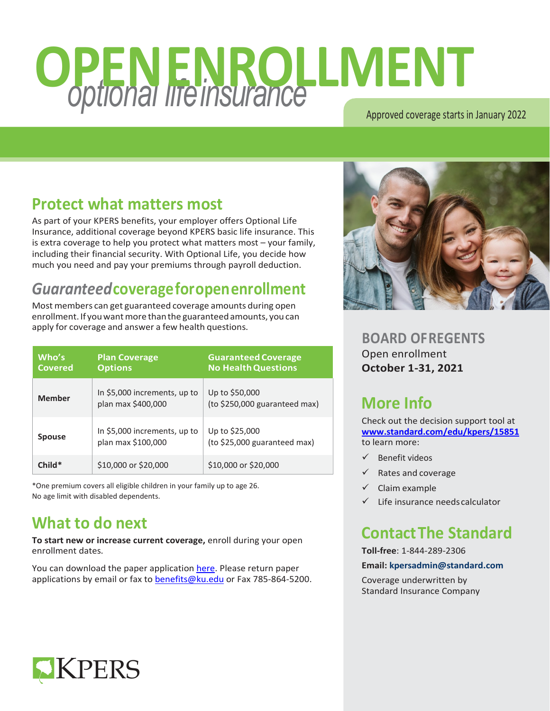# *optional lifeinsurance* **OPENENROLLMENT**

Approved coverage starts in January 2022

## **Protect what matters most**

As part of your KPERS benefits, your employer offers Optional Life Insurance, additional coverage beyond KPERS basic life insurance. This is extra coverage to help you protect what matters most – your family, including their financial security. With Optional Life, you decide how much you need and pay your premiums through payroll deduction.

## *Guaranteed***coverageforopenenrollment**

Most members can get guaranteed coverage amounts during open enrollment. If you want more than the guaranteed amounts, you can apply for coverage and answer a few health questions.

| Who's<br><b>Covered</b> | <b>Plan Coverage</b><br><b>Options</b>             | <b>Guaranteed Coverage</b><br><b>No Health Questions</b> |
|-------------------------|----------------------------------------------------|----------------------------------------------------------|
| Member                  | In \$5,000 increments, up to<br>plan max \$400,000 | Up to \$50,000<br>(to \$250,000 guaranteed max)          |
| <b>Spouse</b>           | In \$5,000 increments, up to<br>plan max \$100,000 | Up to \$25,000<br>(to \$25,000 guaranteed max)           |
| $Child*$                | \$10,000 or \$20,000                               | \$10,000 or \$20,000                                     |

\*One premium covers all eligible children in your family up to age 26. No age limit with disabled dependents.

## **What to do next**

**To start new or increase current coverage,** enroll during your open enrollment dates.

You can download the paper application [here.](https://humanresources.ku.edu/sites/humanresources.drupal.ku.edu/files/docs/2021_OGL_OE_enrollment_form.pdf) Please return paper applications by email or fax t[o benefits@ku.edu](mailto:benefits@ku.edu) or Fax 785-864-5200.



**BOARD OFREGENTS** Open enrollment **October 1-31, 2021**

## **More Info**

Check out the decision support tool at **[www.standard.com/edu/kpers/15851](http://www.standard.com/edu/kpers/15851)** to learn more:

- $\checkmark$  Benefit videos
- $\checkmark$  Rates and coverage
- $\checkmark$  Claim example
- Life insurance needscalculator

## **ContactThe Standard**

**Toll-free**: 1-844-289-2306

#### **Email[: kpersadmin@standard.com](mailto:kpersadmin@standard.com)**

Coverage underwritten by Standard Insurance Company